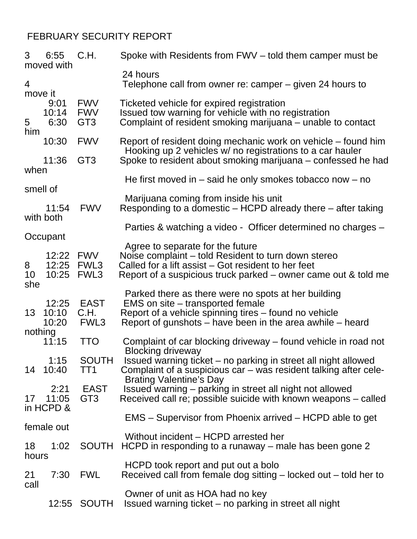## FEBRUARY SECURITY REPORT

| 3                         | 6:55<br>moved with          | C.H.                                        | Spoke with Residents from FWV – told them camper must be                                                                                                                                                         |
|---------------------------|-----------------------------|---------------------------------------------|------------------------------------------------------------------------------------------------------------------------------------------------------------------------------------------------------------------|
| $\overline{4}$<br>move it |                             |                                             | 24 hours<br>Telephone call from owner re: camper – given 24 hours to                                                                                                                                             |
| 5                         | 9:01<br>10:14<br>6:30       | <b>FWV</b><br><b>FWV</b><br>GT <sub>3</sub> | Ticketed vehicle for expired registration<br>Issued tow warning for vehicle with no registration<br>Complaint of resident smoking marijuana – unable to contact                                                  |
| him                       | 10:30                       | <b>FWV</b>                                  | Report of resident doing mechanic work on vehicle – found him                                                                                                                                                    |
| when                      | 11:36                       | GT <sub>3</sub>                             | Hooking up 2 vehicles w/ no registrations to a car hauler<br>Spoke to resident about smoking marijuana – confessed he had                                                                                        |
| smell of                  |                             |                                             | He first moved in $-$ said he only smokes tobacco now $-$ no                                                                                                                                                     |
|                           | 11:54                       | <b>FWV</b>                                  | Marijuana coming from inside his unit<br>Responding to a domestic – HCPD already there – after taking                                                                                                            |
| with both<br>Occupant     |                             |                                             | Parties & watching a video - Officer determined no charges –                                                                                                                                                     |
| 8<br>10<br>she            | 12:22 FWV<br>12:25<br>10:25 | FWL3<br>FWL3                                | Agree to separate for the future<br>Noise complaint - told Resident to turn down stereo<br>Called for a lift assist – Got resident to her feet<br>Report of a suspicious truck parked – owner came out & told me |
| 13                        | 12:25<br>10:10<br>10:20     | <b>EAST</b><br>C.H.<br>FWL3                 | Parked there as there were no spots at her building<br>EMS on site – transported female<br>Report of a vehicle spinning tires – found no vehicle<br>Report of gunshots – have been in the area awhile – heard    |
| nothing                   | 11:15                       | <b>TTO</b>                                  | Complaint of car blocking driveway – found vehicle in road not                                                                                                                                                   |
| 14                        | 1:15<br>10:40               | <b>SOUTH</b><br>TT1                         | <b>Blocking driveway</b><br>Issued warning ticket – no parking in street all night allowed<br>Complaint of a suspicious car – was resident talking after cele-<br><b>Brating Valentine's Day</b>                 |
| 17                        | 2:21<br>11:05<br>in HCPD &  | <b>EAST</b><br>GT <sub>3</sub>              | Issued warning - parking in street all night not allowed<br>Received call re; possible suicide with known weapons - called                                                                                       |
| female out                |                             |                                             | EMS – Supervisor from Phoenix arrived – HCPD able to get                                                                                                                                                         |
| 18                        | 1:02                        | <b>SOUTH</b>                                | Without incident – HCPD arrested her<br>HCPD in responding to a runaway – male has been gone 2                                                                                                                   |
| hours<br>21<br>call       | 7:30                        | <b>FWL</b>                                  | HCPD took report and put out a bolo<br>Received call from female dog sitting $-$ locked out $-$ told her to                                                                                                      |
|                           |                             | 12:55 SOUTH                                 | Owner of unit as HOA had no key<br>Issued warning ticket – no parking in street all night                                                                                                                        |